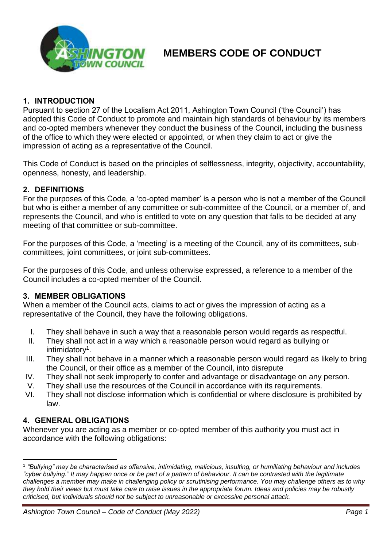

## **1. INTRODUCTION**

Pursuant to section 27 of the Localism Act 2011, Ashington Town Council ('the Council') has adopted this Code of Conduct to promote and maintain high standards of behaviour by its members and co-opted members whenever they conduct the business of the Council, including the business of the office to which they were elected or appointed, or when they claim to act or give the impression of acting as a representative of the Council.

This Code of Conduct is based on the principles of selflessness, integrity, objectivity, accountability, openness, honesty, and leadership.

### **2. DEFINITIONS**

For the purposes of this Code, a 'co-opted member' is a person who is not a member of the Council but who is either a member of any committee or sub-committee of the Council, or a member of, and represents the Council, and who is entitled to vote on any question that falls to be decided at any meeting of that committee or sub-committee.

For the purposes of this Code, a 'meeting' is a meeting of the Council, any of its committees, subcommittees, joint committees, or joint sub-committees.

For the purposes of this Code, and unless otherwise expressed, a reference to a member of the Council includes a co-opted member of the Council.

### **3. MEMBER OBLIGATIONS**

When a member of the Council acts, claims to act or gives the impression of acting as a representative of the Council, they have the following obligations.

- I. They shall behave in such a way that a reasonable person would regards as respectful.
- II. They shall not act in a way which a reasonable person would regard as bullying or intimidatory<sup>1</sup>.
- III. They shall not behave in a manner which a reasonable person would regard as likely to bring the Council, or their office as a member of the Council, into disrepute
- IV. They shall not seek improperly to confer and advantage or disadvantage on any person.
- V. They shall use the resources of the Council in accordance with its requirements.
- VI. They shall not disclose information which is confidential or where disclosure is prohibited by law.

### **4. GENERAL OBLIGATIONS**

Whenever you are acting as a member or co-opted member of this authority you must act in accordance with the following obligations:

<sup>1</sup> *"Bullying" may be characterised as offensive, intimidating, malicious, insulting, or humiliating behaviour and includes "cyber bullying." It may happen once or be part of a pattern of behaviour. It can be contrasted with the legitimate challenges a member may make in challenging policy or scrutinising performance. You may challenge others as to why they hold their views but must take care to raise issues in the appropriate forum. Ideas and policies may be robustly criticised, but individuals should not be subject to unreasonable or excessive personal attack.*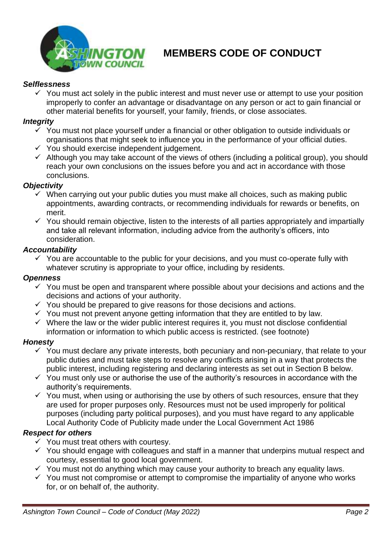

## *Selflessness*

 $\checkmark$  You must act solely in the public interest and must never use or attempt to use your position improperly to confer an advantage or disadvantage on any person or act to gain financial or other material benefits for yourself, your family, friends, or close associates.

### *Integrity*

- $\checkmark$  You must not place yourself under a financial or other obligation to outside individuals or organisations that might seek to influence you in the performance of your official duties.
- ✓ You should exercise independent judgement.
- $\checkmark$  Although you may take account of the views of others (including a political group), you should reach your own conclusions on the issues before you and act in accordance with those conclusions.

## *Objectivity*

- $\checkmark$  When carrying out your public duties you must make all choices, such as making public appointments, awarding contracts, or recommending individuals for rewards or benefits, on merit.
- $\checkmark$  You should remain objective, listen to the interests of all parties appropriately and impartially and take all relevant information, including advice from the authority's officers, into consideration.

## *Accountability*

 $\checkmark$  You are accountable to the public for your decisions, and you must co-operate fully with whatever scrutiny is appropriate to your office, including by residents.

### *Openness*

- $\checkmark$  You must be open and transparent where possible about your decisions and actions and the decisions and actions of your authority.
- $\checkmark$  You should be prepared to give reasons for those decisions and actions.
- $\checkmark$  You must not prevent anyone getting information that they are entitled to by law.
- $\checkmark$  Where the law or the wider public interest requires it, you must not disclose confidential information or information to which public access is restricted. (see footnote)

### *Honesty*

- $\checkmark$  You must declare any private interests, both pecuniary and non-pecuniary, that relate to your public duties and must take steps to resolve any conflicts arising in a way that protects the public interest, including registering and declaring interests as set out in Section B below.
- $\checkmark$  You must only use or authorise the use of the authority's resources in accordance with the authority's requirements.
- $\checkmark$  You must, when using or authorising the use by others of such resources, ensure that they are used for proper purposes only. Resources must not be used improperly for political purposes (including party political purposes), and you must have regard to any applicable Local Authority Code of Publicity made under the Local Government Act 1986

### *Respect for others*

- $\checkmark$  You must treat others with courtesy.
- $\checkmark$  You should engage with colleagues and staff in a manner that underpins mutual respect and courtesy, essential to good local government.
- $\checkmark$  You must not do anything which may cause your authority to breach any equality laws.
- $\checkmark$  You must not compromise or attempt to compromise the impartiality of anyone who works for, or on behalf of, the authority.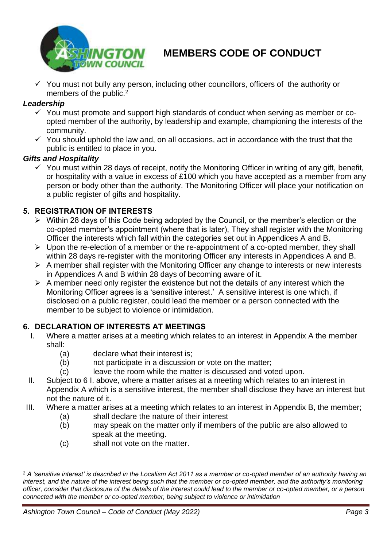

 $\checkmark$  You must not bully any person, including other councillors, officers of the authority or members of the public.<sup>2</sup>

## *Leadership*

- $\checkmark$  You must promote and support high standards of conduct when serving as member or coopted member of the authority, by leadership and example, championing the interests of the community.
- $\checkmark$  You should uphold the law and, on all occasions, act in accordance with the trust that the public is entitled to place in you.

## *Gifts and Hospitality*

 $\checkmark$  You must within 28 days of receipt, notify the Monitoring Officer in writing of any gift, benefit, or hospitality with a value in excess of £100 which you have accepted as a member from any person or body other than the authority. The Monitoring Officer will place your notification on a public register of gifts and hospitality.

## **5. REGISTRATION OF INTERESTS**

- ➢ Within 28 days of this Code being adopted by the Council, or the member's election or the co-opted member's appointment (where that is later), They shall register with the Monitoring Officer the interests which fall within the categories set out in Appendices A and B.
- ➢ Upon the re-election of a member or the re-appointment of a co-opted member, they shall within 28 days re-register with the monitoring Officer any interests in Appendices A and B.
- $\triangleright$  A member shall register with the Monitoring Officer any change to interests or new interests in Appendices A and B within 28 days of becoming aware of it.
- $\triangleright$  A member need only register the existence but not the details of any interest which the Monitoring Officer agrees is a 'sensitive interest.' A sensitive interest is one which, if disclosed on a public register, could lead the member or a person connected with the member to be subject to violence or intimidation.

## **6. DECLARATION OF INTERESTS AT MEETINGS**

- I. Where a matter arises at a meeting which relates to an interest in Appendix A the member shall:
	- (a) declare what their interest is;
	- (b) not participate in a discussion or vote on the matter;
	- (c) leave the room while the matter is discussed and voted upon.
- II. Subject to 6 I. above, where a matter arises at a meeting which relates to an interest in Appendix A which is a sensitive interest, the member shall disclose they have an interest but not the nature of it.
- III. Where a matter arises at a meeting which relates to an interest in Appendix B, the member;
	- (a) shall declare the nature of their interest
	- (b) may speak on the matter only if members of the public are also allowed to speak at the meeting.
	- (c) shall not vote on the matter.

<sup>2</sup> *A 'sensitive interest' is described in the Localism Act 2011 as a member or co-opted member of an authority having an interest, and the nature of the interest being such that the member or co-opted member, and the authority's monitoring officer, consider that disclosure of the details of the interest could lead to the member or co-opted member, or a person connected with the member or co-opted member, being subject to violence or intimidation*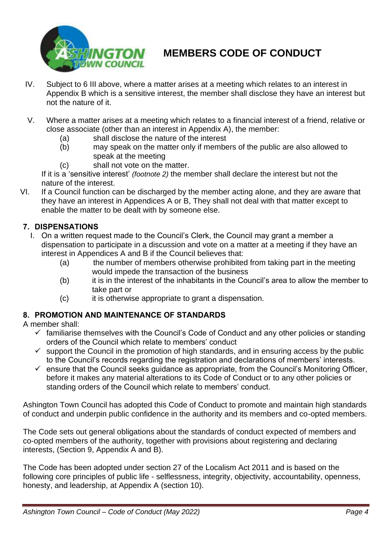

- IV. Subject to 6 III above, where a matter arises at a meeting which relates to an interest in Appendix B which is a sensitive interest, the member shall disclose they have an interest but not the nature of it.
- V. Where a matter arises at a meeting which relates to a financial interest of a friend, relative or close associate (other than an interest in Appendix A), the member:
	- (a) shall disclose the nature of the interest
	- (b) may speak on the matter only if members of the public are also allowed to speak at the meeting
	- (c) shall not vote on the matter.

If it is a 'sensitive interest' *(footnote 2)* the member shall declare the interest but not the nature of the interest.

VI. If a Council function can be discharged by the member acting alone, and they are aware that they have an interest in Appendices A or B, They shall not deal with that matter except to enable the matter to be dealt with by someone else.

# **7. DISPENSATIONS**

- I. On a written request made to the Council's Clerk, the Council may grant a member a dispensation to participate in a discussion and vote on a matter at a meeting if they have an interest in Appendices A and B if the Council believes that:
	- (a) the number of members otherwise prohibited from taking part in the meeting would impede the transaction of the business
	- (b) it is in the interest of the inhabitants in the Council's area to allow the member to take part or
	- (c) it is otherwise appropriate to grant a dispensation.

# **8. PROMOTION AND MAINTENANCE OF STANDARDS**

A member shall:

- $\checkmark$  familiarise themselves with the Council's Code of Conduct and any other policies or standing orders of the Council which relate to members' conduct
- $\checkmark$  support the Council in the promotion of high standards, and in ensuring access by the public to the Council's records regarding the registration and declarations of members' interests.
- $\checkmark$  ensure that the Council seeks guidance as appropriate, from the Council's Monitoring Officer, before it makes any material alterations to its Code of Conduct or to any other policies or standing orders of the Council which relate to members' conduct.

Ashington Town Council has adopted this Code of Conduct to promote and maintain high standards of conduct and underpin public confidence in the authority and its members and co-opted members.

The Code sets out general obligations about the standards of conduct expected of members and co-opted members of the authority, together with provisions about registering and declaring interests, (Section 9, Appendix A and B).

The Code has been adopted under section 27 of the Localism Act 2011 and is based on the following core principles of public life - selflessness, integrity, objectivity, accountability, openness, honesty, and leadership, at Appendix A (section 10).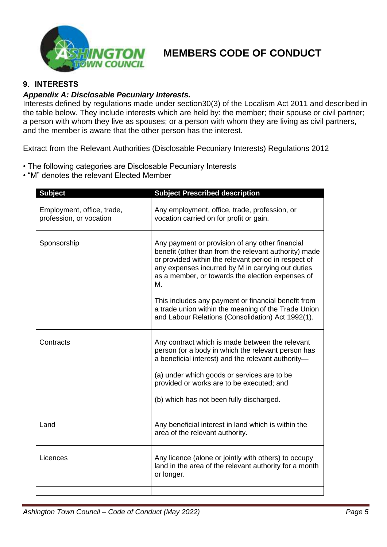

## **9. INTERESTS**

### *Appendix A: Disclosable Pecuniary Interests.*

Interests defined by regulations made under section30(3) of the Localism Act 2011 and described in the table below. They include interests which are held by: the member; their spouse or civil partner; a person with whom they live as spouses; or a person with whom they are living as civil partners, and the member is aware that the other person has the interest.

Extract from the Relevant Authorities (Disclosable Pecuniary Interests) Regulations 2012

- The following categories are Disclosable Pecuniary Interests
- "M" denotes the relevant Elected Member

| <b>Subject</b>                                        | <b>Subject Prescribed description</b>                                                                                                                                                                                                                                           |
|-------------------------------------------------------|---------------------------------------------------------------------------------------------------------------------------------------------------------------------------------------------------------------------------------------------------------------------------------|
| Employment, office, trade,<br>profession, or vocation | Any employment, office, trade, profession, or<br>vocation carried on for profit or gain.                                                                                                                                                                                        |
| Sponsorship                                           | Any payment or provision of any other financial<br>benefit (other than from the relevant authority) made<br>or provided within the relevant period in respect of<br>any expenses incurred by M in carrying out duties<br>as a member, or towards the election expenses of<br>М. |
|                                                       | This includes any payment or financial benefit from<br>a trade union within the meaning of the Trade Union<br>and Labour Relations (Consolidation) Act 1992(1).                                                                                                                 |
| Contracts                                             | Any contract which is made between the relevant<br>person (or a body in which the relevant person has<br>a beneficial interest) and the relevant authority-                                                                                                                     |
|                                                       | (a) under which goods or services are to be<br>provided or works are to be executed; and                                                                                                                                                                                        |
|                                                       | (b) which has not been fully discharged.                                                                                                                                                                                                                                        |
| Land                                                  | Any beneficial interest in land which is within the<br>area of the relevant authority.                                                                                                                                                                                          |
| Licences                                              | Any licence (alone or jointly with others) to occupy<br>land in the area of the relevant authority for a month<br>or longer.                                                                                                                                                    |
|                                                       |                                                                                                                                                                                                                                                                                 |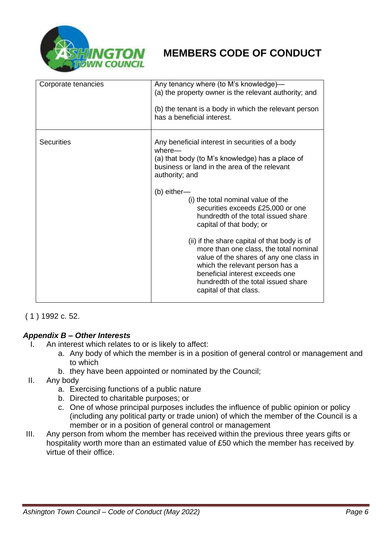

| Corporate tenancies | Any tenancy where (to M's knowledge)-<br>(a) the property owner is the relevant authority; and<br>(b) the tenant is a body in which the relevant person<br>has a beneficial interest.                                                                                                                                                                                                                                                                                                                                                                                                                                     |
|---------------------|---------------------------------------------------------------------------------------------------------------------------------------------------------------------------------------------------------------------------------------------------------------------------------------------------------------------------------------------------------------------------------------------------------------------------------------------------------------------------------------------------------------------------------------------------------------------------------------------------------------------------|
| <b>Securities</b>   | Any beneficial interest in securities of a body<br>where-<br>(a) that body (to M's knowledge) has a place of<br>business or land in the area of the relevant<br>authority; and<br>$(b)$ either-<br>(i) the total nominal value of the<br>securities exceeds £25,000 or one<br>hundredth of the total issued share<br>capital of that body; or<br>(ii) if the share capital of that body is of<br>more than one class, the total nominal<br>value of the shares of any one class in<br>which the relevant person has a<br>beneficial interest exceeds one<br>hundredth of the total issued share<br>capital of that class. |

## ( 1 ) 1992 c. 52.

## *Appendix B – Other Interests*

- I. An interest which relates to or is likely to affect:
	- a. Any body of which the member is in a position of general control or management and to which
	- b. they have been appointed or nominated by the Council;
- II. Any body
	- a. Exercising functions of a public nature
	- b. Directed to charitable purposes; or
	- c. One of whose principal purposes includes the influence of public opinion or policy (including any political party or trade union) of which the member of the Council is a member or in a position of general control or management
- III. Any person from whom the member has received within the previous three years gifts or hospitality worth more than an estimated value of £50 which the member has received by virtue of their office.